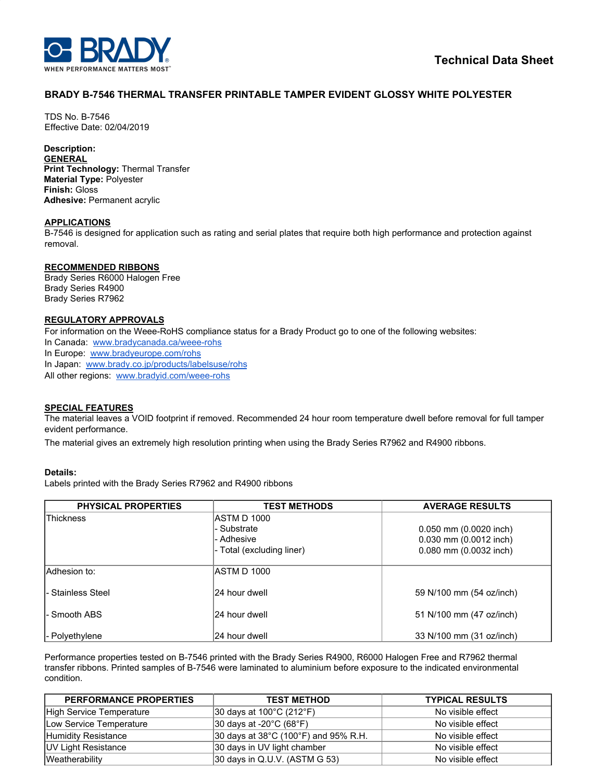

# **BRADY B-7546 THERMAL TRANSFER PRINTABLE TAMPER EVIDENT GLOSSY WHITE POLYESTER**

TDS No. B-7546 Effective Date: 02/04/2019

## **Description:**

**GENERAL**

**Print Technology:** Thermal Transfer **Material Type:** Polyester **Finish:** Gloss **Adhesive:** Permanent acrylic

### **APPLICATIONS**

B-7546 is designed for application such as rating and serial plates that require both high performance and protection against removal.

#### **RECOMMENDED RIBBONS**

Brady Series R6000 Halogen Free Brady Series R4900 Brady Series R7962

### **REGULATORY APPROVALS**

For information on the Weee-RoHS compliance status for a Brady Product go to one of the following websites: In Canada: [www.bradycanada.ca/weee-rohs](http://www.bradycanada.ca/weee-rohs) In Europe: [www.bradyeurope.com/rohs](http://www.bradyeurope.com/rohs) In Japan: www.[brady.co.jp/products/labelsuse/rohs](https://brady.co.jp/products/labelsuse/rohs) All other regions: [www.bradyid.com/weee-rohs](http://www.bradyid.com/weee-rohs)

#### **SPECIAL FEATURES**

The material leaves a VOID footprint if removed. Recommended 24 hour room temperature dwell before removal for full tamper evident performance.

The material gives an extremely high resolution printing when using the Brady Series R7962 and R4900 ribbons.

#### **Details:**

Labels printed with the Brady Series R7962 and R4900 ribbons

| <b>PHYSICAL PROPERTIES</b> | <b>TEST METHODS</b>       | <b>AVERAGE RESULTS</b>   |
|----------------------------|---------------------------|--------------------------|
| <b>Thickness</b>           | ASTM D 1000               |                          |
|                            | - Substrate               | 0.050 mm (0.0020 inch)   |
|                            | l- Adhesive               | 0.030 mm (0.0012 inch)   |
|                            | - Total (excluding liner) | 0.080 mm (0.0032 inch)   |
| Adhesion to:               | <b>ASTM D 1000</b>        |                          |
| - Stainless Steel          | 24 hour dwell             | 59 N/100 mm (54 oz/inch) |
| - Smooth ABS               | 24 hour dwell             | 51 N/100 mm (47 oz/inch) |
| l- Polvethylene            | 24 hour dwell             | 33 N/100 mm (31 oz/inch) |

Performance properties tested on B-7546 printed with the Brady Series R4900, R6000 Halogen Free and R7962 thermal transfer ribbons. Printed samples of B-7546 were laminated to aluminium before exposure to the indicated environmental condition.

| <b>PERFORMANCE PROPERTIES</b> | <b>TEST METHOD</b>                                        | <b>TYPICAL RESULTS</b> |
|-------------------------------|-----------------------------------------------------------|------------------------|
| High Service Temperature      | $ 30 \text{ days}$ at 100°C (212°F)                       | No visible effect      |
| Low Service Temperature       | $ 30 \text{ days}$ at -20 $^{\circ}$ C (68 $^{\circ}$ F)  | No visible effect      |
| Humidity Resistance           | 30 days at $38^{\circ}$ C (100 $^{\circ}$ F) and 95% R.H. | No visible effect      |
| <b>UV Light Resistance</b>    | 30 days in UV light chamber                               | No visible effect      |
| Weatherability                | $ 30 \text{ days}$ in Q.U.V. (ASTM G 53)                  | No visible effect      |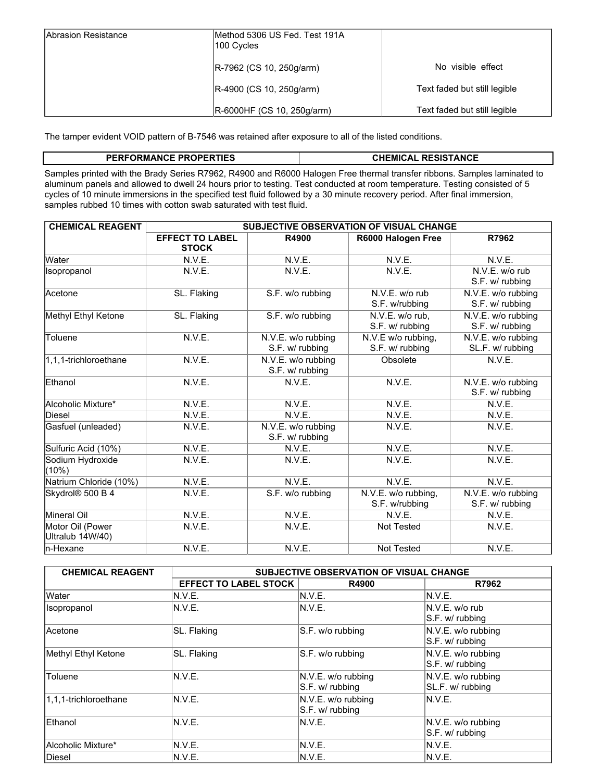| Abrasion Resistance | Method 5306 US Fed. Test 191A<br>100 Cycles |                              |
|---------------------|---------------------------------------------|------------------------------|
|                     | $ R-7962$ (CS 10, 250g/arm)                 | No visible effect            |
|                     | R-4900 (CS 10, 250g/arm)                    | Text faded but still legible |
|                     | R-6000HF (CS 10, 250g/arm)                  | Text faded but still legible |

The tamper evident VOID pattern of B-7546 was retained after exposure to all of the listed conditions.

## **PERFORMANCE PROPERTIES CHEMICAL RESISTANCE**

Samples printed with the Brady Series R7962, R4900 and R6000 Halogen Free thermal transfer ribbons. Samples laminated to aluminum panels and allowed to dwell 24 hours prior to testing. Test conducted at room temperature. Testing consisted of 5 cycles of 10 minute immersions in the specified test fluid followed by a 30 minute recovery period. After final immersion, samples rubbed 10 times with cotton swab saturated with test fluid.

| <b>CHEMICAL REAGENT</b>              | SUBJECTIVE OBSERVATION OF VISUAL CHANGE |                                       |                                       |                                        |
|--------------------------------------|-----------------------------------------|---------------------------------------|---------------------------------------|----------------------------------------|
|                                      | <b>EFFECT TO LABEL</b><br><b>STOCK</b>  | R4900                                 | R6000 Halogen Free                    | R7962                                  |
| Water                                | N.V.E.                                  | N.V.E.                                | N.V.E.                                | N.V.E.                                 |
| <b>Isopropanol</b>                   | N.V.E.                                  | N.V.E.                                | N.V.E.                                | N.V.E. w/o rub<br>S.F. w/ rubbing      |
| Acetone                              | SL. Flaking                             | S.F. w/o rubbing                      | N.V.E. w/o rub<br>S.F. w/rubbing      | N.V.E. w/o rubbing<br>S.F. w/ rubbing  |
| Methyl Ethyl Ketone                  | SL. Flaking                             | S.F. w/o rubbing                      | N.V.E. w/o rub,<br>S.F. w/ rubbing    | N.V.E. w/o rubbing<br>S.F. w/ rubbing  |
| Toluene                              | N.V.E.                                  | N.V.E. w/o rubbing<br>S.F. w/ rubbing | N.V.E w/o rubbing,<br>S.F. w/ rubbing | N.V.E. w/o rubbing<br>SL.F. w/ rubbing |
| 1,1,1-trichloroethane                | N.V.E.                                  | N.V.E. w/o rubbing<br>S.F. w/ rubbing | Obsolete                              | N.V.E.                                 |
| Ethanol                              | N.V.E.                                  | N.V.E.                                | N.V.E.                                | N.V.E. w/o rubbing<br>S.F. w/ rubbing  |
| Alcoholic Mixture*                   | N.V.E.                                  | N.V.E.                                | N.V.E.                                | N.V.E.                                 |
| Diesel                               | N.V.E.                                  | N.V.E.                                | N.V.E.                                | N.V.E.                                 |
| Gasfuel (unleaded)                   | N.V.E.                                  | N.V.E. w/o rubbing<br>S.F. w/ rubbing | N.V.E.                                | N.V.E.                                 |
| Sulfuric Acid (10%)                  | N.V.E.                                  | N.V.E.                                | N.V.E.                                | N.V.E.                                 |
| Sodium Hydroxide<br>(10%)            | N.V.E.                                  | N.V.E.                                | N.V.E.                                | N.V.E.                                 |
| Natrium Chloride (10%)               | N.V.E.                                  | N.V.E.                                | N.V.E.                                | N.V.E.                                 |
| Skydrol <sup>®</sup> 500 B 4         | N.V.E.                                  | S.F. w/o rubbing                      | N.V.E. w/o rubbing,<br>S.F. w/rubbing | N.V.E. w/o rubbing<br>S.F. w/ rubbing  |
| Mineral Oil                          | N.V.E.                                  | N.V.E.                                | N.V.E.                                | N.V.E.                                 |
| Motor Oil (Power<br>Ultralub 14W/40) | N.V.E.                                  | N.V.E.                                | <b>Not Tested</b>                     | N.V.E.                                 |
| n-Hexane                             | N.V.E.                                  | N.V.E.                                | Not Tested                            | N.V.E.                                 |

| <b>CHEMICAL REAGENT</b> | SUBJECTIVE OBSERVATION OF VISUAL CHANGE |                                       |                                          |
|-------------------------|-----------------------------------------|---------------------------------------|------------------------------------------|
|                         | <b>EFFECT TO LABEL STOCK</b>            | R4900                                 | R7962                                    |
| <b>Water</b>            | N.V.E.                                  | N.V.E.                                | IN.V.E.                                  |
| Isopropanol             | N.V.E.                                  | N.V.E.                                | $N.V.E.$ w/o rub<br>S.F. w/ rubbing      |
| <b>Acetone</b>          | SL. Flaking                             | S.F. w/o rubbing                      | $N.V.E.$ w/o rubbing<br>S.F. w/ rubbing  |
| Methyl Ethyl Ketone     | SL. Flaking                             | S.F. w/o rubbing                      | $N.V.E.$ w/o rubbing<br>$S.F. w$ rubbing |
| Toluene                 | N.V.E.                                  | N.V.E. w/o rubbing<br>S.F. w/ rubbing | $N.V.E.$ w/o rubbing<br>SL.F. w/ rubbing |
| 1,1,1-trichloroethane   | N.V.E.                                  | N.V.E. w/o rubbing<br>S.F. w/ rubbing | N.V.E.                                   |
| Ethanol                 | N.V.E.                                  | N.V.E.                                | N.V.E. w/o rubbing<br>$S.F. w$ rubbing   |
| Alcoholic Mixture*      | N.V.E.                                  | N.V.E.                                | N.V.E.                                   |
| <b>Diesel</b>           | N.V.E.                                  | N.V.E.                                | N.V.E.                                   |